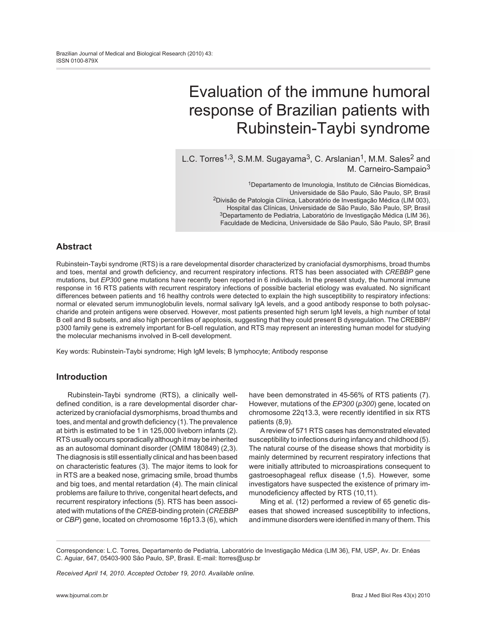# Evaluation of the immune humoral response of Brazilian patients with Rubinstein-Taybi syndrome

L.C. Torres<sup>1,3</sup>, S.M.M. Sugayama<sup>3</sup>, C. Arslanian<sup>1</sup>, M.M. Sales<sup>2</sup> and M. Carneiro-Sampaio<sup>3</sup>

> 1Departamento de Imunologia, Instituto de Ciências Biomédicas, Universidade de São Paulo, São Paulo, SP, Brasil 2Divisão de Patologia Clínica, Laboratório de Investigação Médica (LIM 003), Hospital das Clínicas, Universidade de São Paulo, São Paulo, SP, Brasil 3Departamento de Pediatria, Laboratório de Investigação Médica (LIM 36), Faculdade de Medicina, Universidade de São Paulo, São Paulo, SP, Brasil

# **Abstract**

Rubinstein-Taybi syndrome (RTS) is a rare developmental disorder characterized by craniofacial dysmorphisms, broad thumbs and toes, mental and growth deficiency, and recurrent respiratory infections. RTS has been associated with *CREBBP* gene mutations, but *EP300* gene mutations have recently been reported in 6 individuals. In the present study, the humoral immune response in 16 RTS patients with recurrent respiratory infections of possible bacterial etiology was evaluated. No significant differences between patients and 16 healthy controls were detected to explain the high susceptibility to respiratory infections: normal or elevated serum immunoglobulin levels, normal salivary IgA levels, and a good antibody response to both polysaccharide and protein antigens were observed. However, most patients presented high serum IgM levels, a high number of total B cell and B subsets, and also high percentiles of apoptosis, suggesting that they could present B dysregulation. The CREBBP/ p300 family gene is extremely important for B-cell regulation, and RTS may represent an interesting human model for studying the molecular mechanisms involved in B-cell development.

Key words: Rubinstein-Taybi syndrome; High IgM levels; B lymphocyte; Antibody response

# **Introduction**

Rubinstein-Taybi syndrome (RTS), a clinically welldefined condition, is a rare developmental disorder characterized by craniofacial dysmorphisms, broad thumbs and toes, and mental and growth deficiency (1). The prevalence at birth is estimated to be 1 in 125,000 liveborn infants (2). RTS usually occurs sporadically although it may be inherited as an autosomal dominant disorder (OMIM 180849) (2,3). The diagnosis is still essentially clinical and has been based on characteristic features (3). The major items to look for in RTS are a beaked nose, grimacing smile, broad thumbs and big toes, and mental retardation (4). The main clinical problems are failure to thrive, congenital heart defects**,** and recurrent respiratory infections (5). RTS has been associated with mutations of the *CREB-*binding protein (*CREBBP*  or *CBP*) gene, located on chromosome 16p13.3 (6), which have been demonstrated in 45-56% of RTS patients (7). However, mutations of the *EP300* (*p300*) gene, located on chromosome 22q13.3, were recently identified in six RTS patients (8,9).

A review of 571 RTS cases has demonstrated elevated susceptibility to infections during infancy and childhood (5). The natural course of the disease shows that morbidity is mainly determined by recurrent respiratory infections that were initially attributed to microaspirations consequent to gastroesophageal reflux disease (1,5). However, some investigators have suspected the existence of primary immunodeficiency affected by RTS (10,11).

Ming et al. (12) performed a review of 65 genetic diseases that showed increased susceptibility to infections, and immune disorders were identified in many of them. This

Correspondence: L.C. Torres, Departamento de Pediatria, Laboratório de Investigação Médica (LIM 36), FM, USP, Av. Dr. Enéas C. Aguiar, 647, 05403-900 São Paulo, SP, Brasil. E-mail: ltorres@usp.br

*Received April 14, 2010. Accepted October 19, 2010. Available online.*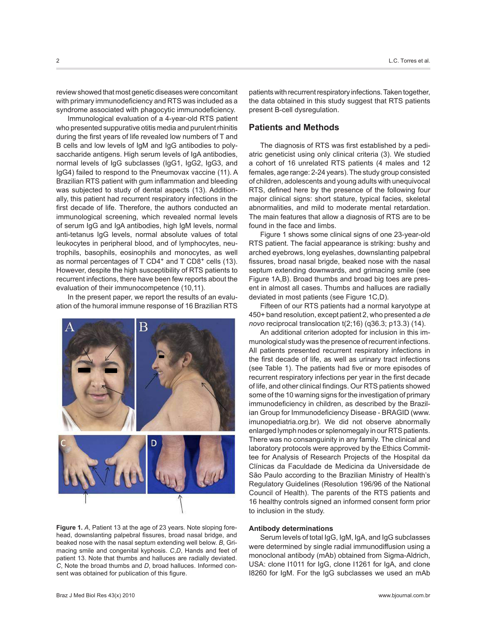review showed that most genetic diseases were concomitant with primary immunodeficiency and RTS was included as a syndrome associated with phagocytic immunodeficiency.

Immunological evaluation of a 4-year-old RTS patient who presented suppurative otitis media and purulent rhinitis during the first years of life revealed low numbers of T and B cells and low levels of IgM and IgG antibodies to polysaccharide antigens. High serum levels of IgA antibodies, normal levels of IgG subclasses (IgG1, IgG2, IgG3, and IgG4) failed to respond to the Pneumovax vaccine (11). A Brazilian RTS patient with gum inflammation and bleeding was subjected to study of dental aspects (13). Additionally, this patient had recurrent respiratory infections in the first decade of life. Therefore, the authors conducted an immunological screening, which revealed normal levels of serum IgG and IgA antibodies, high IgM levels, normal anti-tetanus IgG levels, normal absolute values of total leukocytes in peripheral blood, and of lymphocytes, neutrophils, basophils, eosinophils and monocytes, as well as normal percentages of  $T$  CD4<sup>+</sup> and  $T$  CD8<sup>+</sup> cells (13). However, despite the high susceptibility of RTS patients to recurrent infections, there have been few reports about the evaluation of their immunocompetence (10,11).

In the present paper, we report the results of an evaluation of the humoral immune response of 16 Brazilian RTS



**Figure 1.** *A*, Patient 13 at the age of 23 years. Note sloping forehead, downslanting palpebral fissures, broad nasal bridge, and beaked nose with the nasal septum extending well below. *B*, Grimacing smile and congenital kyphosis. *C*,*D*, Hands and feet of patient 13. Note that thumbs and halluces are radially deviated. *C*, Note the broad thumbs and *D*, broad halluces. Informed consent was obtained for publication of this figure.

patients with recurrent respiratory infections. Taken together, the data obtained in this study suggest that RTS patients present B-cell dysregulation.

## **Patients and Methods**

The diagnosis of RTS was first established by a pediatric geneticist using only clinical criteria (3). We studied a cohort of 16 unrelated RTS patients (4 males and 12 females, age range: 2-24 years). The study group consisted of children, adolescents and young adults with unequivocal RTS, defined here by the presence of the following four major clinical signs: short stature, typical facies, skeletal abnormalities, and mild to moderate mental retardation. The main features that allow a diagnosis of RTS are to be found in the face and limbs.

Figure 1 shows some clinical signs of one 23-year-old RTS patient. The facial appearance is striking: bushy and arched eyebrows, long eyelashes, downslanting palpebral fissures, broad nasal brigde, beaked nose with the nasal septum extending downwards, and grimacing smile (see Figure 1A,B). Broad thumbs and broad big toes are present in almost all cases. Thumbs and halluces are radially deviated in most patients (see Figure 1C,D).

Fifteen of our RTS patients had a normal karyotype at 450+ band resolution, except patient 2, who presented a *de novo* reciprocal translocation t(2;16) (q36.3; p13.3) (14).

An additional criterion adopted for inclusion in this immunological study was the presence of recurrent infections. All patients presented recurrent respiratory infections in the first decade of life, as well as urinary tract infections (see Table 1). The patients had five or more episodes of recurrent respiratory infections per year in the first decade of life, and other clinical findings. Our RTS patients showed some of the 10 warning signs for the investigation of primary immunodeficiency in children, as described by the Brazilian Group for Immunodeficiency Disease - BRAGID (www. imunopediatria.org.br). We did not observe abnormally enlarged lymph nodes or splenomegaly in our RTS patients. There was no consanguinity in any family. The clinical and laboratory protocols were approved by the Ethics Committee for Analysis of Research Projects of the Hospital da Clínicas da Faculdade de Medicina da Universidade de São Paulo according to the Brazilian Ministry of Health's Regulatory Guidelines (Resolution 196/96 of the National Council of Health). The parents of the RTS patients and 16 healthy controls signed an informed consent form prior to inclusion in the study.

#### **Antibody determinations**

Serum levels of total IgG, IgM, IgA, and IgG subclasses were determined by single radial immunodiffusion using a monoclonal antibody (mAb) obtained from Sigma-Aldrich, USA: clone I1011 for IgG, clone I1261 for IgA, and clone I8260 for IgM. For the IgG subclasses we used an mAb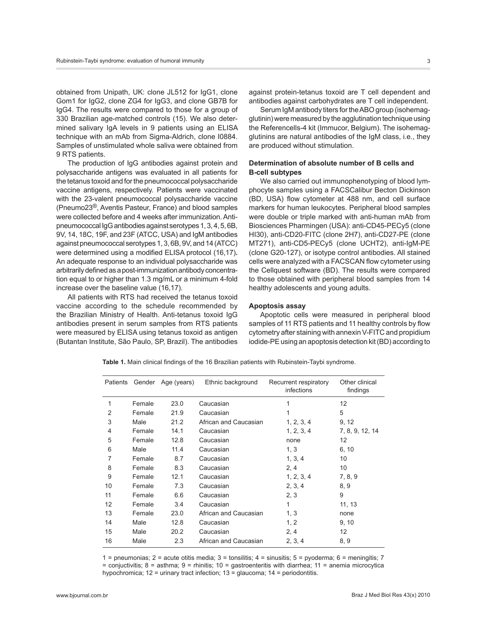obtained from Unipath, UK: clone JL512 for IgG1, clone Gom1 for IgG2, clone ZG4 for IgG3, and clone GB7B for IgG4. The results were compared to those for a group of 330 Brazilian age-matched controls (15). We also determined salivary IgA levels in 9 patients using an ELISA technique with an mAb from Sigma-Aldrich, clone I0884. Samples of unstimulated whole saliva were obtained from 9 RTS patients.

The production of IgG antibodies against protein and polysaccharide antigens was evaluated in all patients for the tetanus toxoid and for the pneumococcal polysaccharide vaccine antigens, respectively. Patients were vaccinated with the 23-valent pneumococcal polysaccharide vaccine (Pneumo23®, Aventis Pasteur, France) and blood samples were collected before and 4 weeks after immunization. Antipneumococcal IgG antibodies against serotypes 1, 3, 4, 5, 6B, 9V, 14, 18C, 19F, and 23F (ATCC, USA) and IgM antibodies against pneumococcal serotypes 1, 3, 6B, 9V, and 14 (ATCC) were determined using a modified ELISA protocol (16,17)**.** An adequate response to an individual polysaccharide was arbitrarily defined as a post-immunization antibody concentration equal to or higher than 1.3 mg/mL or a minimum 4-fold increase over the baseline value (16,17).

All patients with RTS had received the tetanus toxoid vaccine according to the schedule recommended by the Brazilian Ministry of Health. Anti-tetanus toxoid IgG antibodies present in serum samples from RTS patients were measured by ELISA using tetanus toxoid as antigen (Butantan Institute, São Paulo, SP, Brazil). The antibodies against protein-tetanus toxoid are T cell dependent and antibodies against carbohydrates are T cell independent.

Serum IgM antibody titers for the ABO group (isohemagglutinin) were measured by the agglutination technique using the Referencells-4 kit (Immucor, Belgium). The isohemagglutinins are natural antibodies of the IgM class, i.e., they are produced without stimulation.

### **Determination of absolute number of B cells and B-cell subtypes**

We also carried out immunophenotyping of blood lymphocyte samples using a FACSCalibur Becton Dickinson (BD, USA) flow cytometer at 488 nm, and cell surface markers for human leukocytes. Peripheral blood samples were double or triple marked with anti-human mAb from Biosciences Pharmingen (USA): anti-CD45-PECy5 (clone HI30), anti-CD20-FITC (clone 2H7), anti-CD27-PE (clone MT271), anti-CD5-PECy5 (clone UCHT2), anti-IgM-PE (clone G20-127), or isotype control antibodies. All stained cells were analyzed with a FACSCAN flow cytometer using the Cellquest software (BD). The results were compared to those obtained with peripheral blood samples from 14 healthy adolescents and young adults.

#### **Apoptosis assay**

Apoptotic cells were measured in peripheral blood samples of 11 RTS patients and 11 healthy controls by flow cytometry after staining with annexin V-FITC and propidium iodide-PE using an apoptosis detection kit (BD) according to

Patients Gender Age (years) Ethnic background Recurrent respiratory infections Other clinical findings 1 Female 23.0 Caucasian 1 12 2 Female 21.9 Caucasian 1 5 3 Male 21.2 African and Caucasian 1, 2, 3, 4 9, 12 4 Female 14.1 Caucasian 1, 2, 3, 4 7, 8, 9, 12, 14 5 Female 12.8 Caucasian none 12 6 Male 11.4 Caucasian 1, 3 6, 10 7 Female 8.7 Caucasian 1, 3, 4 10 8 Female 8.3 Caucasian 2, 4 10 9 Female 12.1 Caucasian 1, 2, 3, 4 7, 8, 9 10 Female 7.3 Caucasian 2, 3, 4 8, 9 11 Female 6.6 Caucasian 2, 3 9 12 Female 3.4 Caucasian 1 1 11, 13 13 Female 23.0 African and Caucasian 1, 3 none 14 Male 12.8 Caucasian 1, 2 9, 10 15 Male 20.2 Caucasian 2, 4 12 16 Male 2.3 African and Caucasian 2, 3, 4 8, 9

**Table 1.** Main clinical findings of the 16 Brazilian patients with Rubinstein-Taybi syndrome.

1 = pneumonias; 2 = acute otitis media; 3 = tonsilitis; 4 = sinusitis; 5 = pyoderma; 6 = meningitis; 7  $=$  conjuctivitis;  $8 =$  asthma;  $9 =$  rhinitis;  $10 =$  gastroenteritis with diarrhea;  $11 =$  anemia microcytica hypochromica; 12 = urinary tract infection; 13 = glaucoma; 14 = periodontitis.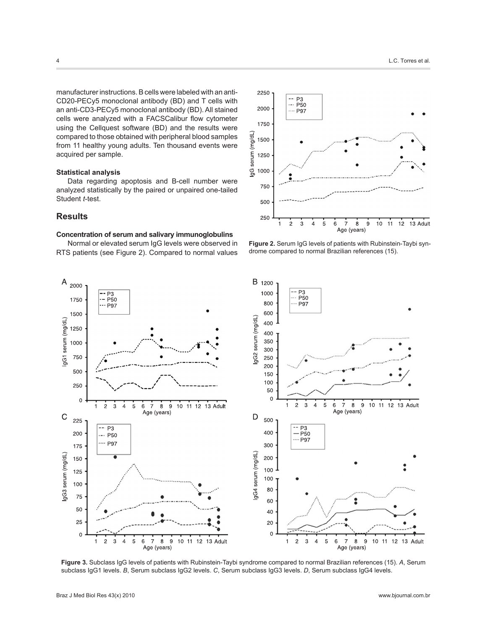manufacturer instructions. B cells were labeled with an anti-CD20-PECy5 monoclonal antibody (BD) and T cells with an anti-CD3-PECy5 monoclonal antibody (BD). All stained cells were analyzed with a FACSCalibur flow cytometer using the Cellquest software (BD) and the results were compared to those obtained with peripheral blood samples from 11 healthy young adults. Ten thousand events were acquired per sample.

#### **Statistical analysis**

Data regarding apoptosis and B-cell number were analyzed statistically by the paired or unpaired one-tailed Student *t*-test.

# **Results**

#### **Concentration of serum and salivary immunoglobulins**

Normal or elevated serum IgG levels were observed in RTS patients (see Figure 2). Compared to normal values



**Figure 2.** Serum IgG levels of patients with Rubinstein-Taybi syndrome compared to normal Brazilian references (15).



**Figure 3.** Subclass IgG levels of patients with Rubinstein-Taybi syndrome compared to normal Brazilian references (15). *A*, Serum subclass IgG1 levels. *B*, Serum subclass IgG2 levels. *C*, Serum subclass IgG3 levels. *D*, Serum subclass IgG4 levels.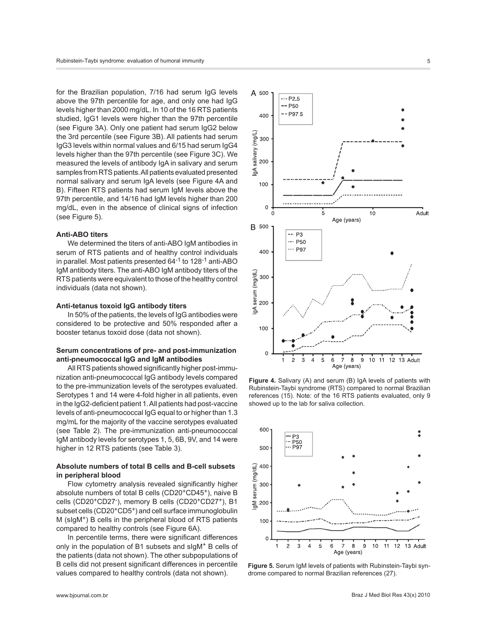for the Brazilian population, 7/16 had serum IgG levels above the 97th percentile for age, and only one had IgG levels higher than 2000 mg/dL. In 10 of the 16 RTS patients studied, IgG1 levels were higher than the 97th percentile (see Figure 3A). Only one patient had serum IgG2 below the 3rd percentile (see Figure 3B). All patients had serum IgG3 levels within normal values and 6/15 had serum IgG4 levels higher than the 97th percentile (see Figure 3C). We measured the levels of antibody IgA in salivary and serum samples from RTS patients. All patients evaluated presented normal salivary and serum IgA levels (see Figure 4A and B). Fifteen RTS patients had serum IgM levels above the 97th percentile, and 14/16 had IgM levels higher than 200 mg/dL, even in the absence of clinical signs of infection (see Figure 5).

#### **Anti-ABO titers**

We determined the titers of anti-ABO IgM antibodies in serum of RTS patients and of healthy control individuals in parallel. Most patients presented 64-1 to 128-1 anti-ABO IgM antibody titers. The anti-ABO IgM antibody titers of the RTS patients were equivalent to those of the healthy control individuals (data not shown).

#### **Anti-tetanus toxoid IgG antibody titers**

In 50% of the patients, the levels of IgG antibodies were considered to be protective and 50% responded after a booster tetanus toxoid dose (data not shown).

## **Serum concentrations of pre- and post-immunization anti-pneumococcal IgG and IgM antibodies**

All RTS patients showed significantly higher post-immunization anti-pneumococcal IgG antibody levels compared to the pre-immunization levels of the serotypes evaluated. Serotypes 1 and 14 were 4-fold higher in all patients, even in the IgG2-deficient patient 1. All patients had post-vaccine levels of anti-pneumococcal IgG equal to or higher than 1.3 mg/mL for the majority of the vaccine serotypes evaluated (see Table 2). The pre-immunization anti-pneumococcal IgM antibody levels for serotypes 1, 5, 6B, 9V, and 14 were higher in 12 RTS patients (see Table 3).

## **Absolute numbers of total B cells and B-cell subsets in peripheral blood**

Flow cytometry analysis revealed significantly higher absolute numbers of total B cells (CD20+CD45+), naive B cells (CD20<sup>+</sup>CD27<sup>-</sup>), memory B cells (CD20<sup>+</sup>CD27<sup>+</sup>), B1 subset cells (CD20<sup>+</sup>CD5<sup>+</sup>) and cell surface immunoglobulin M (sIgM+) B cells in the peripheral blood of RTS patients compared to healthy controls (see Figure 6A).

In percentile terms, there were significant differences only in the population of B1 subsets and sIgM+ B cells of the patients (data not shown). The other subpopulations of B cells did not present significant differences in percentile values compared to healthy controls (data not shown).



**Figure 4.** Salivary (A) and serum (B) IgA levels of patients with Rubinstein-Taybi syndrome (RTS) compared to normal Brazilian references (15). Note: of the 16 RTS patients evaluated, only 9 showed up to the lab for saliva collection.



**Figure 5.** Serum IgM levels of patients with Rubinstein-Taybi syndrome compared to normal Brazilian references (27).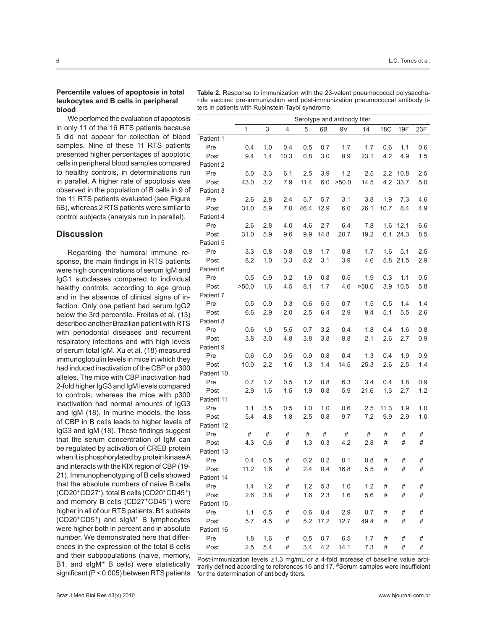## **Percentile values of apoptosis in total leukocytes and B cells in peripheral blood**

We perfomed the evaluation of apoptosis in only 11 of the 16 RTS patients because 5 did not appear for collection of blood samples. Nine of these 11 RTS patients presented higher percentages of apoptotic cells in peripheral blood samples compared to healthy controls, in determinations run in parallel. A higher rate of apoptosis was observed in the population of B cells in 9 of the 11 RTS patients evaluated (see Figure 6B), whereas 2 RTS patients were similar to control subjects (analysis run in parallel).

# **Discussion**

Regarding the humoral immune response, the main findings in RTS patients were high concentrations of serum IgM and IgG1 subclasses compared to individual healthy controls, according to age group and in the absence of clinical signs of infection. Only one patient had serum IgG2 below the 3rd percentile. Freitas et al. (13) described another Brazilian patient with RTS with periodontal diseases and recurrent respiratory infections and with high levels of serum total IgM. Xu et al. (18) measured immunoglobulin levels in mice in which they had induced inactivation of the CBP or p300 alleles. The mice with CBP inactivation had 2-fold higher IgG3 and IgM levels compared to controls, whereas the mice with p300 inactivation had normal amounts of IgG3 and IgM (18). In murine models, the loss of CBP in B cells leads to higher levels of IgG3 and IgM (18). These findings suggest that the serum concentration of IgM can be regulated by activation of CREB protein when it is phosphorylated by protein kinase A and interacts with the KIX region of CBP (19- 21). Immunophenotyping of B cells showed that the absolute numbers of naive B cells (CD20+CD27- ), total B cells (CD20+CD45+) and memory B cells (CD27<sup>+</sup>CD45<sup>+</sup>) were higher in all of our RTS patients. B1 subsets (CD20+CD5+) and sIgM+ B lymphocytes were higher both in percent and in absolute number. We demonstrated here that differences in the expression of the total B cells and their subpopulations (naive, memory, B1, and sIgM+ B cells) were statistically significant (P < 0.005) between RTS patients

**Table 2.** Response to immunization with the 23-valent pneumococcal polysaccharide vaccine: pre-immunization and post-immunization pneumococcal antibody titers in patients with Rubinstein-Taybi syndrome.

|            |              | Serotype and antibody titer |      |      |      |         |       |      |          |     |
|------------|--------------|-----------------------------|------|------|------|---------|-------|------|----------|-----|
|            | $\mathbf{1}$ | 3                           | 4    | 5    | 6B   | 9V      | 14    | 18C  | 19F      | 23F |
| Patient 1  |              |                             |      |      |      |         |       |      |          |     |
| Pre        | 0.4          | 1.0                         | 0.4  | 0.5  | 0.7  | 1.7     | 1.7   | 0.6  | 1.1      | 0.6 |
| Post       | 9.4          | 1.4                         | 10.3 | 0.8  | 3.0  | 8.9     | 23.1  | 4.2  | 4.9      | 1.5 |
| Patient 2  |              |                             |      |      |      |         |       |      |          |     |
| Pre        | 5.0          | 3.3                         | 6.1  | 2.5  | 3.9  | 1.2     | 2.5   |      | 2.2 10.8 | 2.5 |
| Post       | 43.0         | 3.2                         | 7.9  | 11.4 | 6.0  | >50.0   | 14.5  |      | 4.2 33.7 | 5.0 |
| Patient 3  |              |                             |      |      |      |         |       |      |          |     |
| Pre        | 2.6          | 2.8                         | 2.4  | 5.7  | 5.7  | 3.1     | 3.8   | 1.9  | 7.3      | 4.6 |
| Post       | 31.0         | 5.9                         | 7.0  | 46.4 | 12.9 | 6.0     | 26.1  | 10.7 | 8.4      | 4.9 |
| Patient 4  |              |                             |      |      |      |         |       |      |          |     |
| Pre        | 2.6          | 2.8                         | 4.0  | 4.6  | 2.7  | 6.4     | 7.8   | 1.6  | 12.1     | 6.6 |
| Post       | 31.0         | 5.9                         | 9.6  | 9.9  | 14.8 | 20.7    | 19.2  | 6.1  | 24.3     | 8.5 |
| Patient 5  |              |                             |      |      |      |         |       |      |          |     |
| Pre        | 3.3          | 0.8                         | 0.8  | 0.8  | 1.7  | 0.8     | 1.7   | 1.6  | 5.1      | 2.5 |
| Post       | 8.2          | 1.0                         | 3.3  | 8.2  | 3.1  | 3.9     | 4.6   |      | 5.8 21.5 | 2.9 |
| Patient 6  |              |                             |      |      |      |         |       |      |          |     |
| Pre        | 0.5          | 0.9                         | 0.2  | 1.9  | 0.8  | 0.5     | 1.9   | 0.3  | 1.1      | 0.5 |
| Post       | >50.0        | 1.6                         | 4.5  | 8.1  | 1.7  | 4.6     | >50.0 | 3.9  | 10.5     | 5.8 |
| Patient 7  |              |                             |      |      |      |         |       |      |          |     |
| Pre        | 0.5          | 0.9                         | 0.3  | 0.6  | 5.5  | 0.7     | 1.5   | 0.5  | 1.4      | 1.4 |
| Post       | 6.6          | 2.9                         | 2.0  | 2.5  | 6.4  | 2.9     | 9.4   | 5.1  | 5.5      | 2.6 |
| Patient 8  |              |                             |      |      |      |         |       |      |          |     |
| Pre        | 0.6          | 1.9                         | 5.5  | 0.7  | 3.2  | 0.4     | 1.8   | 0.4  | 1.6      | 0.8 |
| Post       | 3.8          | 3.0                         | 4.8  | 3.8  | 3.8  | 8.8     | 2.1   | 2.6  | 2.7      | 0.9 |
| Patient 9  |              |                             |      |      |      |         |       |      |          |     |
| Pre        | 0.6          | 0.9                         | 0.5  | 0.9  | 0.8  | 0.4     | 1.3   | 0.4  | 1.9      | 0.9 |
| Post       | 10.0         | 2.2                         | 1.6  | 1.3  | 1.4  | 14.5    | 25.3  | 2.6  | 2.5      | 1.4 |
| Patient 10 |              |                             |      |      |      |         |       |      |          |     |
| Pre        | 0.7          | 1.2                         | 0.5  | 1.2  | 0.8  | $6.3\,$ | 3.4   | 0.4  | 1.8      | 0.9 |
| Post       | 2.9          | 1.6                         | 1.5  | 1.9  | 0.8  | 5.9     | 21.6  | 1.3  | 2.7      | 1.2 |
| Patient 11 |              |                             |      |      |      |         |       |      |          |     |
| Pre        | 1.1          | 3.5                         | 0.5  | 1.0  | 1.0  | 0.6     | 2.5   | 11.3 | 1.9      | 1.0 |
| Post       | 5.4          | 4.8                         | 1.8  | 2.5  | 0.8  | 9.7     | 7.2   | 9.9  | 2.9      | 1.0 |
| Patient 12 |              |                             |      |      |      |         |       |      |          |     |
| Pre        | #            | #                           | #    | #    | #    | #       | #     | #    | #        | #   |
| Post       | 4.3          | 0.6                         | #    | 1.3  | 0.3  | 4.2     | 2.8   | #    | #        | #   |
| Patient 13 |              |                             |      |      |      |         |       |      |          |     |
| Pre        | 0.4          | 0.5                         | #    | 0.2  | 0.2  | 0.1     | 0.8   | #    | #        | #   |
| Post       | 11.2         | 1.6                         | #    | 2.4  | 0.4  | 16.8    | 5.5   | #    | #        | #   |
| Patient 14 |              |                             |      |      |      |         |       |      |          |     |
| Pre        | 1.4          | 1.2                         | #    | 1.2  | 5.3  | 1.0     | 1.2   | #    | #        | #   |
| Post       | 2.6          | 3.8                         | #    | 1.6  | 2.3  | 1.6     | 5.6   | #    | #        | #   |
| Patient 15 |              |                             |      |      |      |         |       |      |          |     |
| Pre        | 1.1          | 0.5                         | #    | 0.6  | 0.4  | 2.9     | 0.7   | #    | #        | #   |
| Post       | 5.7          | 4.5                         | #    | 5.2  | 17.2 | 12.7    | 49.4  | #    | #        | #   |
| Patient 16 |              |                             |      |      |      |         |       |      |          |     |
| Pre        | 1.8          | 1.6                         | #    | 0.5  | 0.7  | 6.5     | 1.7   | #    | #        | #   |
| Post       | 2.5          | 5.4                         | #    | 3.4  | 4.2  | 14.1    | 7.3   | #    | #        | #   |

Post-immunization levels ≥1.3 mg/mL or a 4-fold increase of baseline value arbitrarily defined according to references 16 and 17. #Serum samples were insufficient for the determination of antibody titers.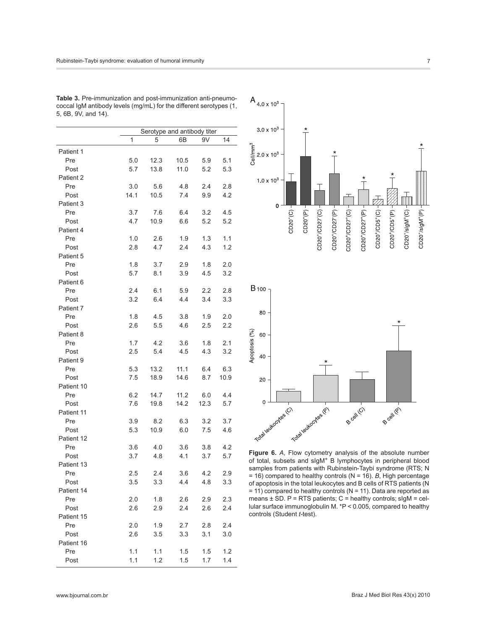|            |      | Serotype and antibody titer |      |      |      |  |  |  |  |
|------------|------|-----------------------------|------|------|------|--|--|--|--|
|            | 1    | 5                           | 6B   | 9V   | 14   |  |  |  |  |
| Patient 1  |      |                             |      |      |      |  |  |  |  |
| Pre        | 5.0  | 12.3                        | 10.5 | 5.9  | 5.1  |  |  |  |  |
| Post       | 5.7  | 13.8                        | 11.0 | 5.2  | 5.3  |  |  |  |  |
| Patient 2  |      |                             |      |      |      |  |  |  |  |
| Pre        | 3.0  | 5.6                         | 4.8  | 2.4  | 2.8  |  |  |  |  |
| Post       | 14.1 | 10.5                        | 7.4  | 9.9  | 4.2  |  |  |  |  |
| Patient 3  |      |                             |      |      |      |  |  |  |  |
| Pre        | 3.7  | 7.6                         | 6.4  | 3.2  | 4.5  |  |  |  |  |
| Post       | 4.7  | 10.9                        | 6.6  | 5.2  | 5.2  |  |  |  |  |
| Patient 4  |      |                             |      |      |      |  |  |  |  |
| Pre        | 1.0  | 2.6                         | 1.9  | 1.3  | 1.1  |  |  |  |  |
| Post       | 2.8  | 4.7                         | 2.4  | 4.3  | 1.2  |  |  |  |  |
| Patient 5  |      |                             |      |      |      |  |  |  |  |
| Pre        | 1.8  | 3.7                         | 2.9  | 1.8  | 2.0  |  |  |  |  |
| Post       | 5.7  | 8.1                         | 3.9  | 4.5  | 3.2  |  |  |  |  |
| Patient 6  |      |                             |      |      |      |  |  |  |  |
| Pre        | 2.4  | 6.1                         | 5.9  | 2.2  | 2.8  |  |  |  |  |
| Post       | 3.2  | 6.4                         | 4.4  | 3.4  | 3.3  |  |  |  |  |
| Patient 7  |      |                             |      |      |      |  |  |  |  |
| Pre        | 1.8  | 4.5                         | 3.8  | 1.9  | 2.0  |  |  |  |  |
| Post       | 2.6  | 5.5                         | 4.6  | 2.5  | 2.2  |  |  |  |  |
| Patient 8  |      |                             |      |      |      |  |  |  |  |
| Pre        | 1.7  | 4.2                         | 3.6  | 1.8  | 2.1  |  |  |  |  |
| Post       | 2.5  | 5.4                         | 4.5  | 4.3  | 3.2  |  |  |  |  |
| Patient 9  |      |                             |      |      |      |  |  |  |  |
| Pre        | 5.3  | 13.2                        | 11.1 | 6.4  | 6.3  |  |  |  |  |
| Post       | 7.5  | 18.9                        | 14.6 | 8.7  | 10.9 |  |  |  |  |
| Patient 10 |      |                             |      |      |      |  |  |  |  |
| Pre        | 6.2  | 14.7                        | 11.2 | 6.0  | 4.4  |  |  |  |  |
| Post       | 7.6  | 19.8                        | 14.2 | 12.3 | 5.7  |  |  |  |  |
| Patient 11 |      |                             |      |      |      |  |  |  |  |
| Pre        | 3.9  | 8.2                         | 6.3  | 3.2  | 3.7  |  |  |  |  |
| Post       | 5.3  | 10.9                        | 6.0  | 7.5  | 4.6  |  |  |  |  |
| Patient 12 |      |                             |      |      |      |  |  |  |  |
| Pre        | 3.6  | 4.0                         | 3.6  | 3.8  | 4.2  |  |  |  |  |
| Post       | 3.7  | 4.8                         | 4.1  | 3.7  | 5.7  |  |  |  |  |
| Patient 13 |      |                             |      |      |      |  |  |  |  |
| Pre        | 2.5  | 2.4                         | 3.6  | 4.2  | 2.9  |  |  |  |  |
| Post       | 3.5  | 3.3                         | 4.4  | 4.8  | 3.3  |  |  |  |  |
| Patient 14 |      |                             |      |      |      |  |  |  |  |
| Pre        | 2.0  | 1.8                         | 2.6  | 2.9  | 2.3  |  |  |  |  |
| Post       | 2.6  | 2.9                         | 2.4  | 2.6  | 2.4  |  |  |  |  |
| Patient 15 |      |                             |      |      |      |  |  |  |  |
| Pre        | 2.0  | 1.9                         | 2.7  | 2.8  | 2.4  |  |  |  |  |
| Post       | 2.6  | 3.5                         | 3.3  | 3.1  | 3.0  |  |  |  |  |
| Patient 16 |      |                             |      |      |      |  |  |  |  |
| Pre        | 1.1  | 1.1                         | 1.5  | 1.5  | 1.2  |  |  |  |  |
| Post       | 1.1  | 1.2                         | 1.5  | 1.7  | 1.4  |  |  |  |  |

**Table 3.** Pre-immunization and post-immunization anti-pneumococcal IgM antibody levels (mg/mL) for the different serotypes (1, 5, 6B, 9V, and 14).



**Figure 6.** *A*, Flow cytometry analysis of the absolute number of total, subsets and sIgM+ B lymphocytes in peripheral blood samples from patients with Rubinstein-Taybi syndrome (RTS; N = 16) compared to healthy controls (N = 16). *B*, High percentage of apoptosis in the total leukocytes and B cells of RTS patients (N  $= 11$ ) compared to healthy controls (N = 11). Data are reported as means  $\pm$  SD. P = RTS patients; C = healthy controls; sIgM = cellular surface immunoglobulin M. \*P < 0.005, compared to healthy controls (Student *t-*test).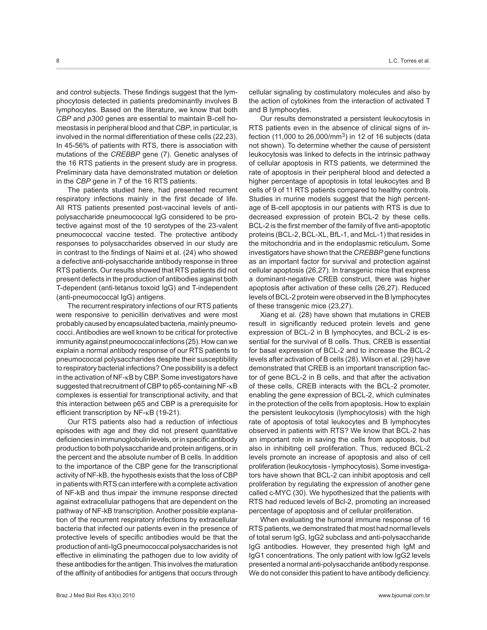and control subjects. These findings suggest that the lymphocytosis detected in patients predominantly involves B lymphocytes. Based on the literature, we know that both *CBP* and *p300* genes are essential to maintain B-cell homeostasis in peripheral blood and that *CBP*, in particular, is involved in the normal differentiation of these cells (22,23). In 45-56% of patients with RTS, there is association with mutations of the *CREBBP* gene (7). Genetic analyses of the 16 RTS patients in the present study are in progress. Preliminary data have demonstrated mutation or deletion in the *CBP* gene in 7 of the 16 RTS patients.

The patients studied here, had presented recurrent respiratory infections mainly in the first decade of life. All RTS patients presented post-vaccinal levels of antipolysaccharide pneumococcal IgG considered to be protective against most of the 10 serotypes of the 23-valent pneumococcal vaccine tested. The protective antibody responses to polysaccharides observed in our study are in contrast to the findings of Naimi et al. (24) who showed a defective anti-polysaccharide antibody response in three RTS patients. Our results showed that RTS patients did not present defects in the production of antibodies against both T-dependent (anti-tetanus toxoid IgG) and T-independent (anti-pneumococcal IgG) antigens.

The recurrent respiratory infections of our RTS patients were responsive to penicillin derivatives and were most probably caused by encapsulated bacteria, mainly pneumococci. Antibodies are well known to be critical for protective immunity against pneumococcal infections (25). How can we explain a normal antibody response of our RTS patients to pneumococcal polysaccharides despite their susceptibility to respiratory bacterial infections? One possibility is a defect in the activation of NF-κB by CBP. Some investigators have suggested that recruitment of CBP to p65-containing NF-κB complexes is essential for transcriptional activity, and that this interaction between p65 and CBP is a prerequisite for efficient transcription by NF-κB (19-21).

Our RTS patients also had a reduction of infectious episodes with age and they did not present quantitative deficiencies in immunoglobulin levels, or in specific antibody production to both polysaccharide and protein antigens, or in the percent and the absolute number of B cells. In addition to the importance of the CBP gene for the transcriptional activity of NF-kB, the hypothesis exists that the loss of CBP in patients with RTS can interfere with a complete activation of NF-kB and thus impair the immune response directed against extracellular pathogens that are dependent on the pathway of NF-kB transcription. Another possible explanation of the recurrent respiratory infections by extracellular bacteria that infected our patients even in the presence of protective levels of specific antibodies would be that the production of anti-IgG pneumococcal polysaccharides is not effective in eliminating the pathogen due to low avidity of these antibodies for the antigen. This involves the maturation of the affinity of antibodies for antigens that occurs through cellular signaling by costimulatory molecules and also by the action of cytokines from the interaction of activated T and B lymphocytes.

Our results demonstrated a persistent leukocytosis in RTS patients even in the absence of clinical signs of infection (11,000 to  $26,000/\text{mm}^3$ ) in 12 of 16 subjects (data not shown). To determine whether the cause of persistent leukocytosis was linked to defects in the intrinsic pathway of cellular apoptosis in RTS patients, we determined the rate of apoptosis in their peripheral blood and detected a higher percentage of apoptosis in total leukocytes and B cells of 9 of 11 RTS patients compared to healthy controls. Studies in murine models suggest that the high percentage of B-cell apoptosis in our patients with RTS is due to decreased expression of protein BCL-2 by these cells. BCL-2 is the first member of the family of five anti-apoptotic proteins (BCL-2, BCL-XL, BfL-1, and McL-1) that resides in the mitochondria and in the endoplasmic reticulum**.** Some investigators have shown that the *CREBBP* gene functions as an important factor for survival and protection against cellular apoptosis (26,27). In transgenic mice that express a dominant-negative CREB construct, there was higher apoptosis after activation of these cells (26,27). Reduced levels of BCL-2 protein were observed in the B lymphocytes of these transgenic mice (23,27).

Xiang et al. (28) have shown that mutations in CREB result in significantly reduced protein levels and gene expression of BCL-2 in B lymphocytes, and BCL-2 is essential for the survival of B cells. Thus, CREB is essential for basal expression of BCL-2 and to increase the BCL-2 levels after activation of B cells (28). Wilson et al. (29) have demonstrated that CREB is an important transcription factor of gene BCL-2 in B cells, and that after the activation of these cells, CREB interacts with the BCL-2 promoter, enabling the gene expression of BCL-2, which culminates in the protection of the cells from apoptosis**.** How to explain the persistent leukocytosis (lymphocytosis) with the high rate of apoptosis of total leukocytes and B lymphocytes observed in patients with RTS? We know that BCL-2 has an important role in saving the cells from apoptosis, but also in inhibiting cell proliferation. Thus, reduced BCL-2 levels promote an increase of apoptosis and also of cell proliferation (leukocytosis - lymphocytosis). Some investigators have shown that BCL-2 can inhibit apoptosis and cell proliferation by regulating the expression of another gene called c-MYC (30). We hypothesized that the patients with RTS had reduced levels of Bcl-2, promoting an increased percentage of apoptosis and of cellular proliferation.

When evaluating the humoral immune response of 16 RTS patients, we demonstrated that most had normal levels of total serum IgG, IgG2 subclass and anti-polysaccharide IgG antibodies. However, they presented high IgM and IgG1 concentrations. The only patient with low IgG2 levels presented a normal anti-polysaccharide antibody response. We do not consider this patient to have antibody deficiency.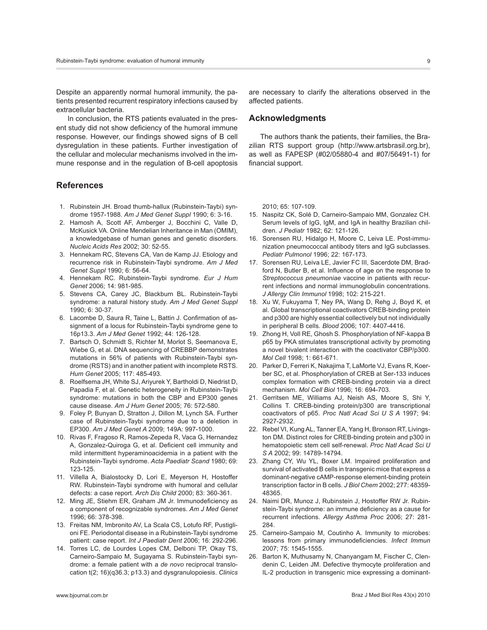Despite an apparently normal humoral immunity, the patients presented recurrent respiratory infections caused by extracellular bacteria*.*

In conclusion, the RTS patients evaluated in the present study did not show deficiency of the humoral immune response. However, our findings showed signs of B cell dysregulation in these patients. Further investigation of the cellular and molecular mechanisms involved in the immune response and in the regulation of B-cell apoptosis

# **References**

- 1. Rubinstein JH. Broad thumb-hallux (Rubinstein-Taybi) syndrome 1957-1988. *Am J Med Genet Suppl* 1990; 6: 3-16.
- 2. Hamosh A, Scott AF, Amberger J, Bocchini C, Valle D, McKusick VA. Online Mendelian Inheritance in Man (OMIM), a knowledgebase of human genes and genetic disorders. *Nucleic Acids Res* 2002; 30: 52-55.
- 3. Hennekam RC, Stevens CA, Van de Kamp JJ. Etiology and recurrence risk in Rubinstein-Taybi syndrome. *Am J Med Genet Suppl* 1990; 6: 56-64.
- 4. Hennekam RC. Rubinstein-Taybi syndrome. *Eur J Hum Genet* 2006; 14: 981-985.
- 5. Stevens CA, Carey JC, Blackburn BL. Rubinstein-Taybi syndrome: a natural history study. *Am J Med Genet Suppl* 1990; 6: 30-37.
- 6. Lacombe D, Saura R, Taine L, Battin J. Confirmation of assignment of a locus for Rubinstein-Taybi syndrome gene to 16p13.3. *Am J Med Genet* 1992; 44: 126-128.
- 7. Bartsch O, Schmidt S, Richter M, Morlot S, Seemanova E, Wiebe G, et al. DNA sequencing of CREBBP demonstrates mutations in 56% of patients with Rubinstein-Taybi syndrome (RSTS) and in another patient with incomplete RSTS. *Hum Genet* 2005; 117: 485-493.
- 8. Roelfsema JH, White SJ, Ariyurek Y, Bartholdi D, Niedrist D, Papadia F, et al. Genetic heterogeneity in Rubinstein-Taybi syndrome: mutations in both the CBP and EP300 genes cause disease. *Am J Hum Genet* 2005; 76: 572-580.
- 9. Foley P, Bunyan D, Stratton J, Dillon M, Lynch SA. Further case of Rubinstein-Taybi syndrome due to a deletion in EP300. *Am J Med Genet A* 2009; 149A: 997-1000.
- 10. Rivas F, Fragoso R, Ramos-Zepeda R, Vaca G, Hernandez A, Gonzalez-Quiroga G, et al. Deficient cell immunity and mild intermittent hyperaminoacidemia in a patient with the Rubinstein-Taybi syndrome. *Acta Paediatr Scand* 1980; 69: 123-125.
- 11. Villella A, Bialostocky D, Lori E, Meyerson H, Hostoffer RW. Rubinstein-Taybi syndrome with humoral and cellular defects: a case report. *Arch Dis Child* 2000; 83: 360-361.
- 12. Ming JE, Stiehm ER, Graham JM Jr. Immunodeficiency as a component of recognizable syndromes. *Am J Med Genet* 1996; 66: 378-398.
- 13. Freitas NM, Imbronito AV, La Scala CS, Lotufo RF, Pustiglioni FE. Periodontal disease in a Rubinstein-Taybi syndrome patient: case report. *Int J Paediatr Dent* 2006; 16: 292-296.
- 14. Torres LC, de Lourdes Lopes CM, Delboni TP, Okay TS, Carneiro-Sampaio M, Sugayama S. Rubinstein-Taybi syndrome: a female patient with a *de novo* reciprocal translocation t(2; 16)(q36.3; p13.3) and dysgranulopoiesis. *Clinics*

are necessary to clarify the alterations observed in the affected patients.

# **Acknowledgments**

The authors thank the patients, their families, the Brazilian RTS support group (http://www.artsbrasil.org.br), as well as FAPESP (#02/05880-4 and #07/56491-1) for financial support.

2010; 65: 107-109.

- 15. Naspitz CK, Solé D, Carneiro-Sampaio MM, Gonzalez CH. Serum levels of IgG, IgM, and IgA in healthy Brazilian children. *J Pediatr* 1982; 62: 121-126.
- 16. Sorensen RU, Hidalgo H, Moore C, Leiva LE. Post-immunization pneumococcal antibody titers and IgG subclasses. *Pediatr Pulmonol* 1996; 22: 167-173.
- 17. Sorensen RU, Leiva LE, Javier FC III, Sacerdote DM, Bradford N, Butler B, et al. Influence of age on the response to *Streptococcus pneumoniae* vaccine in patients with recurrent infections and normal immunoglobulin concentrations. *J Allergy Clin Immunol* 1998; 102: 215-221.
- 18. Xu W, Fukuyama T, Ney PA, Wang D, Rehg J, Boyd K, et al. Global transcriptional coactivators CREB-binding protein and p300 are highly essential collectively but not individually in peripheral B cells. *Blood* 2006; 107: 4407-4416.
- 19. Zhong H, Voll RE, Ghosh S. Phosphorylation of NF-kappa B p65 by PKA stimulates transcriptional activity by promoting a novel bivalent interaction with the coactivator CBP/p300. *Mol Cell* 1998; 1: 661-671.
- 20. Parker D, Ferreri K, Nakajima T, LaMorte VJ, Evans R, Koerber SC, et al. Phosphorylation of CREB at Ser-133 induces complex formation with CREB-binding protein via a direct mechanism. *Mol Cell Biol* 1996; 16: 694-703.
- 21. Gerritsen ME, Williams AJ, Neish AS, Moore S, Shi Y, Collins T. CREB-binding protein/p300 are transcriptional coactivators of p65. *Proc Natl Acad Sci U S A* 1997; 94: 2927-2932.
- 22. Rebel VI, Kung AL, Tanner EA, Yang H, Bronson RT, Livingston DM. Distinct roles for CREB-binding protein and p300 in hematopoietic stem cell self-renewal. *Proc Natl Acad Sci U S A* 2002; 99: 14789-14794.
- 23. Zhang CY, Wu YL, Boxer LM. Impaired proliferation and survival of activated B cells in transgenic mice that express a dominant-negative cAMP-response element-binding protein transcription factor in B cells. *J Biol Chem* 2002; 277: 48359- 48365.
- 24. Naimi DR, Munoz J, Rubinstein J, Hostoffer RW Jr. Rubinstein-Taybi syndrome: an immune deficiency as a cause for recurrent infections. *Allergy Asthma Proc* 2006; 27: 281- 284.
- 25. Carneiro-Sampaio M, Coutinho A. Immunity to microbes: lessons from primary immunodeficiencies. *Infect Immun* 2007; 75: 1545-1555.
- 26. Barton K, Muthusamy N, Chanyangam M, Fischer C, Clendenin C, Leiden JM. Defective thymocyte proliferation and IL-2 production in transgenic mice expressing a dominant-